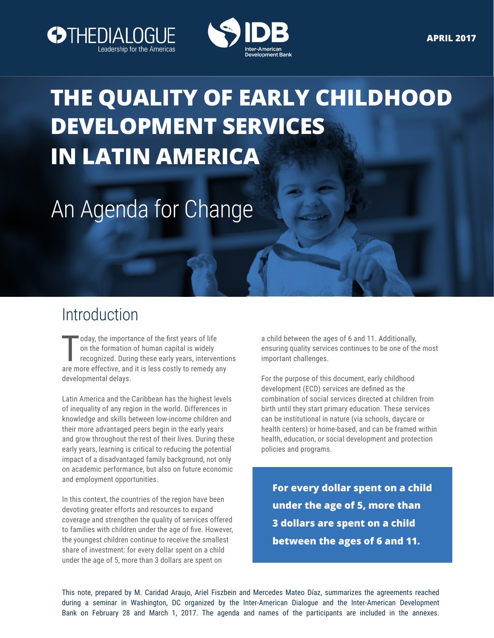



# **THE QUALITY OF EARLY CHILDHOOD DEVELOPMENT SERVICES IN LATIN AMERICA**

# An Agenda for Change

## Introduction

oday, the importance of the first years of life<br>on the formation of human capital is widely<br>recognized. During these early years, interventio<br>are more effective, and it is less costly to remedy any oday, the importance of the first years of life on the formation of human capital is widely recognized. During these early years, interventions developmental delays.

Latin America and the Caribbean has the highest levels of inequality of any region in the world. Differences in knowledge and skills between low-income children and their more advantaged peers begin in the early years and grow throughout the rest of their lives. During these early years, learning is critical to reducing the potential impact of a disadvantaged family background, not only on academic performance, but also on future economic and employment opportunities.

In this context, the countries of the region have been devoting greater efforts and resources to expand coverage and strengthen the quality of services offered to families with children under the age of five. However, the youngest children continue to receive the smallest share of investment: for every dollar spent on a child under the age of 5, more than 3 dollars are spent on

a child between the ages of 6 and 11. Additionally, ensuring quality services continues to be one of the most important challenges.

For the purpose of this document, early childhood development (ECD) services are defined as the combination of social services directed at children from birth until they start primary education. These services can be institutional in nature (via schools, daycare or health centers) or home-based, and can be framed within health, education, or social development and protection policies and programs.

**For every dollar spent on a child under the age of 5, more than 3 dollars are spent on a child between the ages of 6 and 11.**

This note, prepared by M. Caridad Araujo, Ariel Fiszbein and Mercedes Mateo Díaz, summarizes the agreements reached during a seminar in Washington, DC organized by the Inter-American Dialogue and the Inter-American Development Bank on February 28 and March 1, 2017. The agenda and names of the participants are included in the annexes.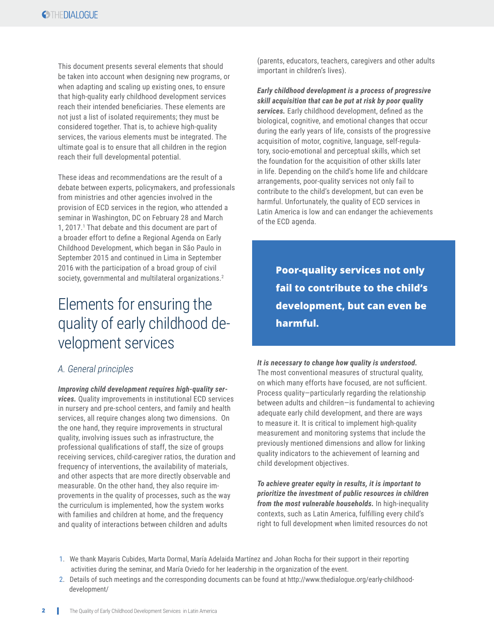This document presents several elements that should be taken into account when designing new programs, or when adapting and scaling up existing ones, to ensure that high-quality early childhood development services reach their intended beneficiaries. These elements are not just a list of isolated requirements; they must be considered together. That is, to achieve high-quality services, the various elements must be integrated. The ultimate goal is to ensure that all children in the region reach their full developmental potential.

These ideas and recommendations are the result of a debate between experts, policymakers, and professionals from ministries and other agencies involved in the provision of ECD services in the region, who attended a seminar in Washington, DC on February 28 and March 1, 2017.<sup>1</sup> That debate and this document are part of a broader effort to define a Regional Agenda on Early Childhood Development, which began in São Paulo in September 2015 and continued in Lima in September 2016 with the participation of a broad group of civil society, governmental and multilateral organizations.<sup>2</sup>

## Elements for ensuring the quality of early childhood development services

#### *A. General principles*

*Improving child development requires high-quality services.* Quality improvements in institutional ECD services in nursery and pre-school centers, and family and health services, all require changes along two dimensions. On the one hand, they require improvements in structural quality, involving issues such as infrastructure, the professional qualifications of staff, the size of groups receiving services, child-caregiver ratios, the duration and frequency of interventions, the availability of materials, and other aspects that are more directly observable and measurable. On the other hand, they also require improvements in the quality of processes, such as the way the curriculum is implemented, how the system works with families and children at home, and the frequency and quality of interactions between children and adults

(parents, educators, teachers, caregivers and other adults important in children's lives).

*Early childhood development is a process of progressive skill acquisition that can be put at risk by poor quality services.* Early childhood development, defined as the biological, cognitive, and emotional changes that occur during the early years of life, consists of the progressive acquisition of motor, cognitive, language, self-regulatory, socio-emotional and perceptual skills, which set the foundation for the acquisition of other skills later in life. Depending on the child's home life and childcare arrangements, poor-quality services not only fail to contribute to the child's development, but can even be harmful. Unfortunately, the quality of ECD services in Latin America is low and can endanger the achievements of the ECD agenda.

**Poor-quality services not only fail to contribute to the child's development, but can even be harmful.**

#### *It is necessary to change how quality is understood.*

The most conventional measures of structural quality, on which many efforts have focused, are not sufficient. Process quality—particularly regarding the relationship between adults and children—is fundamental to achieving adequate early child development, and there are ways to measure it. It is critical to implement high-quality measurement and monitoring systems that include the previously mentioned dimensions and allow for linking quality indicators to the achievement of learning and child development objectives.

*To achieve greater equity in results, it is important to prioritize the investment of public resources in children from the most vulnerable households.* In high-inequality contexts, such as Latin America, fulfilling every child's right to full development when limited resources do not

- 1. We thank Mayaris Cubides, Marta Dormal, María Adelaida Martínez and Johan Rocha for their support in their reporting activities during the seminar, and María Oviedo for her leadership in the organization of the event.
- 2. Details of such meetings and the corresponding documents can be found at http://www.thedialogue.org/early-childhood development/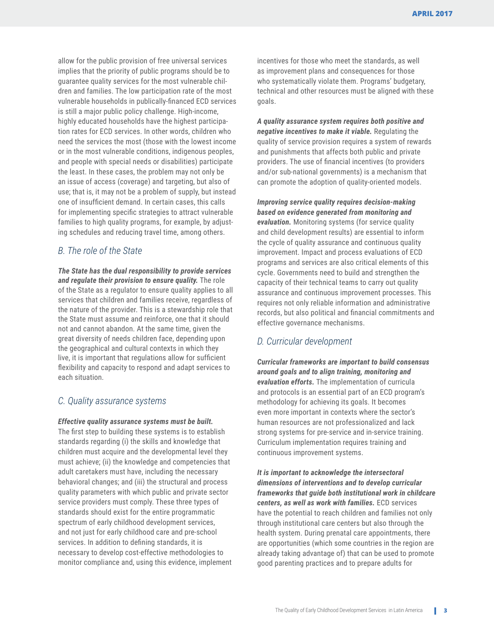allow for the public provision of free universal services implies that the priority of public programs should be to guarantee quality services for the most vulnerable children and families. The low participation rate of the most vulnerable households in publically-financed ECD services is still a major public policy challenge. High-income, highly educated households have the highest participation rates for ECD services. In other words, children who need the services the most (those with the lowest income or in the most vulnerable conditions, indigenous peoples, and people with special needs or disabilities) participate the least. In these cases, the problem may not only be an issue of access (coverage) and targeting, but also of use; that is, it may not be a problem of supply, but instead one of insufficient demand. In certain cases, this calls for implementing specific strategies to attract vulnerable families to high quality programs, for example, by adjusting schedules and reducing travel time, among others.

#### *B. The role of the State*

*The State has the dual responsibility to provide services and regulate their provision to ensure quality.* The role of the State as a regulator to ensure quality applies to all services that children and families receive, regardless of the nature of the provider. This is a stewardship role that the State must assume and reinforce, one that it should not and cannot abandon. At the same time, given the great diversity of needs children face, depending upon the geographical and cultural contexts in which they live, it is important that regulations allow for sufficient flexibility and capacity to respond and adapt services to each situation.

#### *C. Quality assurance systems*

*Effective quality assurance systems must be built.*  The first step to building these systems is to establish standards regarding (i) the skills and knowledge that children must acquire and the developmental level they must achieve; (ii) the knowledge and competencies that adult caretakers must have, including the necessary behavioral changes; and (iii) the structural and process quality parameters with which public and private sector service providers must comply. These three types of standards should exist for the entire programmatic spectrum of early childhood development services, and not just for early childhood care and pre-school services. In addition to defining standards, it is necessary to develop cost-effective methodologies to monitor compliance and, using this evidence, implement incentives for those who meet the standards, as well as improvement plans and consequences for those who systematically violate them. Programs' budgetary, technical and other resources must be aligned with these goals.

*A quality assurance system requires both positive and negative incentives to make it viable.* Regulating the quality of service provision requires a system of rewards and punishments that affects both public and private providers. The use of financial incentives (to providers and/or sub-national governments) is a mechanism that can promote the adoption of quality-oriented models.

*Improving service quality requires decision-making based on evidence generated from monitoring and evaluation.* Monitoring systems (for service quality and child development results) are essential to inform the cycle of quality assurance and continuous quality improvement. Impact and process evaluations of ECD programs and services are also critical elements of this cycle. Governments need to build and strengthen the capacity of their technical teams to carry out quality assurance and continuous improvement processes. This requires not only reliable information and administrative records, but also political and financial commitments and effective governance mechanisms.

#### *D. Curricular development*

*Curricular frameworks are important to build consensus around goals and to align training, monitoring and evaluation efforts.* The implementation of curricula and protocols is an essential part of an ECD program's methodology for achieving its goals. It becomes even more important in contexts where the sector's human resources are not professionalized and lack strong systems for pre-service and in-service training. Curriculum implementation requires training and continuous improvement systems.

*It is important to acknowledge the intersectoral dimensions of interventions and to develop curricular frameworks that guide both institutional work in childcare centers, as well as work with families.* ECD services have the potential to reach children and families not only through institutional care centers but also through the health system. During prenatal care appointments, there are opportunities (which some countries in the region are already taking advantage of) that can be used to promote good parenting practices and to prepare adults for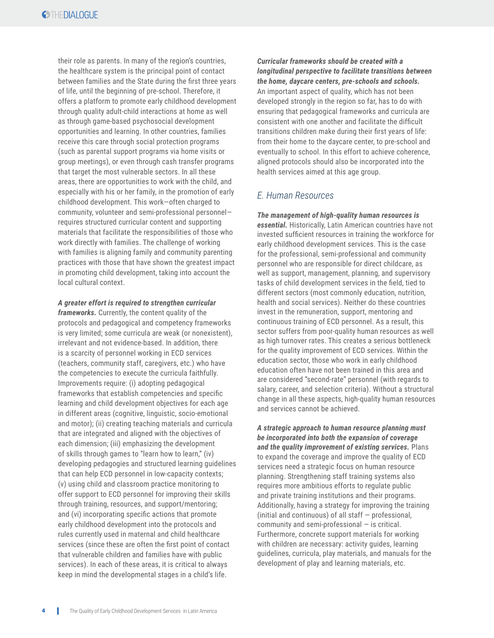their role as parents. In many of the region's countries, the healthcare system is the principal point of contact between families and the State during the first three years of life, until the beginning of pre-school. Therefore, it offers a platform to promote early childhood development through quality adult-child interactions at home as well as through game-based psychosocial development opportunities and learning. In other countries, families receive this care through social protection programs (such as parental support programs via home visits or group meetings), or even through cash transfer programs that target the most vulnerable sectors. In all these areas, there are opportunities to work with the child, and especially with his or her family, in the promotion of early childhood development. This work—often charged to community, volunteer and semi-professional personnel requires structured curricular content and supporting materials that facilitate the responsibilities of those who work directly with families. The challenge of working with families is aligning family and community parenting practices with those that have shown the greatest impact in promoting child development, taking into account the local cultural context.

#### *A greater effort is required to strengthen curricular*

*frameworks.* Currently, the content quality of the protocols and pedagogical and competency frameworks is very limited; some curricula are weak (or nonexistent), irrelevant and not evidence-based. In addition, there is a scarcity of personnel working in ECD services (teachers, community staff, caregivers, etc.) who have the competencies to execute the curricula faithfully. Improvements require: (i) adopting pedagogical frameworks that establish competencies and specific learning and child development objectives for each age in different areas (cognitive, linguistic, socio-emotional and motor); (ii) creating teaching materials and curricula that are integrated and aligned with the objectives of each dimension; (iii) emphasizing the development of skills through games to "learn how to learn," (iv) developing pedagogies and structured learning guidelines that can help ECD personnel in low-capacity contexts; (v) using child and classroom practice monitoring to offer support to ECD personnel for improving their skills through training, resources, and support/mentoring; and (vi) incorporating specific actions that promote early childhood development into the protocols and rules currently used in maternal and child healthcare services (since these are often the first point of contact that vulnerable children and families have with public services). In each of these areas, it is critical to always keep in mind the developmental stages in a child's life.

*Curricular frameworks should be created with a longitudinal perspective to facilitate transitions between the home, daycare centers, pre-schools and schools.* An important aspect of quality, which has not been developed strongly in the region so far, has to do with ensuring that pedagogical frameworks and curricula are consistent with one another and facilitate the difficult transitions children make during their first years of life: from their home to the daycare center, to pre-school and eventually to school. In this effort to achieve coherence, aligned protocols should also be incorporated into the health services aimed at this age group.

#### *E. Human Resources*

*The management of high-quality human resources is essential.* Historically, Latin American countries have not invested sufficient resources in training the workforce for early childhood development services. This is the case for the professional, semi-professional and community personnel who are responsible for direct childcare, as well as support, management, planning, and supervisory tasks of child development services in the field, tied to different sectors (most commonly education, nutrition, health and social services). Neither do these countries invest in the remuneration, support, mentoring and continuous training of ECD personnel. As a result, this sector suffers from poor-quality human resources as well as high turnover rates. This creates a serious bottleneck for the quality improvement of ECD services. Within the education sector, those who work in early childhood education often have not been trained in this area and are considered "second-rate" personnel (with regards to salary, career, and selection criteria). Without a structural change in all these aspects, high-quality human resources and services cannot be achieved.

*A strategic approach to human resource planning must be incorporated into both the expansion of coverage and the quality improvement of existing services.* Plans to expand the coverage and improve the quality of ECD services need a strategic focus on human resource planning. Strengthening staff training systems also requires more ambitious efforts to regulate public and private training institutions and their programs. Additionally, having a strategy for improving the training (initial and continuous) of all staff — professional, community and semi-professional — is critical. Furthermore, concrete support materials for working with children are necessary: activity guides, learning guidelines, curricula, play materials, and manuals for the development of play and learning materials, etc.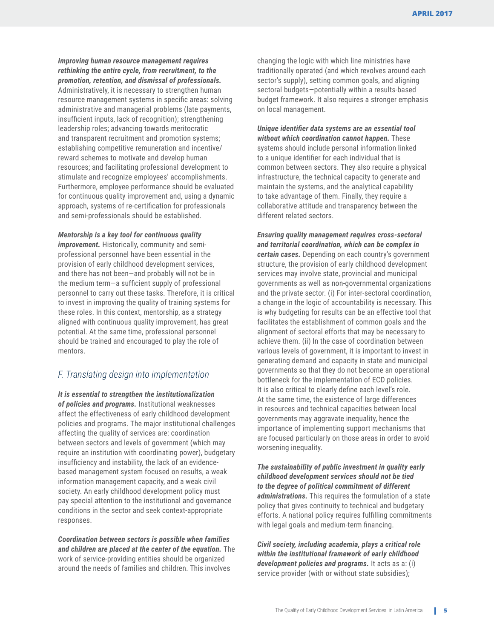*Improving human resource management requires rethinking the entire cycle, from recruitment, to the promotion, retention, and dismissal of professionals.* 

Administratively, it is necessary to strengthen human resource management systems in specific areas: solving administrative and managerial problems (late payments, insufficient inputs, lack of recognition); strengthening leadership roles; advancing towards meritocratic and transparent recruitment and promotion systems; establishing competitive remuneration and incentive/ reward schemes to motivate and develop human resources; and facilitating professional development to stimulate and recognize employees' accomplishments. Furthermore, employee performance should be evaluated for continuous quality improvement and, using a dynamic approach, systems of re-certification for professionals and semi-professionals should be established.

#### *Mentorship is a key tool for continuous quality*

*improvement.* Historically, community and semiprofessional personnel have been essential in the provision of early childhood development services, and there has not been—and probably will not be in the medium term—a sufficient supply of professional personnel to carry out these tasks. Therefore, it is critical to invest in improving the quality of training systems for these roles. In this context, mentorship, as a strategy aligned with continuous quality improvement, has great potential. At the same time, professional personnel should be trained and encouraged to play the role of mentors.

#### *F. Translating design into implementation*

*It is essential to strengthen the institutionalization of policies and programs.* Institutional weaknesses affect the effectiveness of early childhood development policies and programs. The major institutional challenges affecting the quality of services are: coordination between sectors and levels of government (which may require an institution with coordinating power), budgetary insufficiency and instability, the lack of an evidencebased management system focused on results, a weak information management capacity, and a weak civil society. An early childhood development policy must pay special attention to the institutional and governance conditions in the sector and seek context-appropriate responses.

*Coordination between sectors is possible when families and children are placed at the center of the equation.* The work of service-providing entities should be organized around the needs of families and children. This involves

changing the logic with which line ministries have traditionally operated (and which revolves around each sector's supply), setting common goals, and aligning sectoral budgets—potentially within a results-based budget framework. It also requires a stronger emphasis on local management.

*Unique identifier data systems are an essential tool without which coordination cannot happen.* These systems should include personal information linked to a unique identifier for each individual that is common between sectors. They also require a physical infrastructure, the technical capacity to generate and maintain the systems, and the analytical capability to take advantage of them. Finally, they require a collaborative attitude and transparency between the different related sectors.

*Ensuring quality management requires cross-sectoral and territorial coordination, which can be complex in certain cases.* Depending on each country's government structure, the provision of early childhood development services may involve state, provincial and municipal governments as well as non-governmental organizations and the private sector. (i) For inter-sectoral coordination, a change in the logic of accountability is necessary. This is why budgeting for results can be an effective tool that facilitates the establishment of common goals and the alignment of sectoral efforts that may be necessary to achieve them. (ii) In the case of coordination between various levels of government, it is important to invest in generating demand and capacity in state and municipal governments so that they do not become an operational bottleneck for the implementation of ECD policies. It is also critical to clearly define each level's role. At the same time, the existence of large differences in resources and technical capacities between local governments may aggravate inequality, hence the importance of implementing support mechanisms that are focused particularly on those areas in order to avoid worsening inequality.

*The sustainability of public investment in quality early childhood development services should not be tied to the degree of political commitment of different administrations.* This requires the formulation of a state policy that gives continuity to technical and budgetary efforts. A national policy requires fulfilling commitments with legal goals and medium-term financing.

*Civil society, including academia, plays a critical role within the institutional framework of early childhood development policies and programs.* It acts as a: (i) service provider (with or without state subsidies);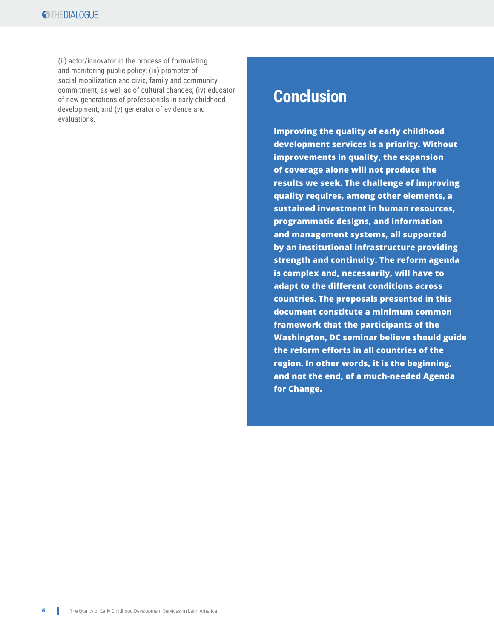(ii) actor/innovator in the process of formulating and monitoring public policy; (iii) promoter of social mobilization and civic, family and community commitment, as well as of cultural changes; (iv) educator of new generations of professionals in early childhood development; and (v) generator of evidence and evaluations.

### **Conclusion**

**Improving the quality of early childhood development services is a priority. Without improvements in quality, the expansion of coverage alone will not produce the results we seek. The challenge of improving quality requires, among other elements, a sustained investment in human resources, programmatic designs, and information and management systems, all supported by an institutional infrastructure providing strength and continuity. The reform agenda is complex and, necessarily, will have to adapt to the different conditions across countries. The proposals presented in this document constitute a minimum common framework that the participants of the Washington, DC seminar believe should guide the reform efforts in all countries of the region. In other words, it is the beginning, and not the end, of a much-needed Agenda for Change.**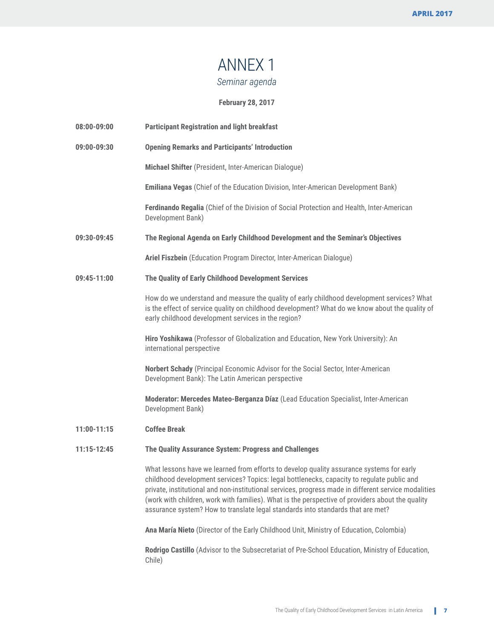### ANNEX 1 *Seminar agenda*

**February 28, 2017**

| 08:00-09:00 | <b>Participant Registration and light breakfast</b>                                                                                                                                                                                                                                                                                                                                                                                                                                   |
|-------------|---------------------------------------------------------------------------------------------------------------------------------------------------------------------------------------------------------------------------------------------------------------------------------------------------------------------------------------------------------------------------------------------------------------------------------------------------------------------------------------|
| 09:00-09:30 | <b>Opening Remarks and Participants' Introduction</b>                                                                                                                                                                                                                                                                                                                                                                                                                                 |
|             | Michael Shifter (President, Inter-American Dialogue)                                                                                                                                                                                                                                                                                                                                                                                                                                  |
|             | Emiliana Vegas (Chief of the Education Division, Inter-American Development Bank)                                                                                                                                                                                                                                                                                                                                                                                                     |
|             | Ferdinando Regalia (Chief of the Division of Social Protection and Health, Inter-American<br>Development Bank)                                                                                                                                                                                                                                                                                                                                                                        |
| 09:30-09:45 | The Regional Agenda on Early Childhood Development and the Seminar's Objectives                                                                                                                                                                                                                                                                                                                                                                                                       |
|             | Ariel Fiszbein (Education Program Director, Inter-American Dialogue)                                                                                                                                                                                                                                                                                                                                                                                                                  |
| 09:45-11:00 | The Quality of Early Childhood Development Services                                                                                                                                                                                                                                                                                                                                                                                                                                   |
|             | How do we understand and measure the quality of early childhood development services? What<br>is the effect of service quality on childhood development? What do we know about the quality of<br>early childhood development services in the region?                                                                                                                                                                                                                                  |
|             | Hiro Yoshikawa (Professor of Globalization and Education, New York University): An<br>international perspective                                                                                                                                                                                                                                                                                                                                                                       |
|             | Norbert Schady (Principal Economic Advisor for the Social Sector, Inter-American<br>Development Bank): The Latin American perspective                                                                                                                                                                                                                                                                                                                                                 |
|             | Moderator: Mercedes Mateo-Berganza Díaz (Lead Education Specialist, Inter-American<br>Development Bank)                                                                                                                                                                                                                                                                                                                                                                               |
| 11:00-11:15 | <b>Coffee Break</b>                                                                                                                                                                                                                                                                                                                                                                                                                                                                   |
| 11:15-12:45 | The Quality Assurance System: Progress and Challenges                                                                                                                                                                                                                                                                                                                                                                                                                                 |
|             | What lessons have we learned from efforts to develop quality assurance systems for early<br>childhood development services? Topics: legal bottlenecks, capacity to regulate public and<br>private, institutional and non-institutional services, progress made in different service modalities<br>(work with children, work with families). What is the perspective of providers about the quality<br>assurance system? How to translate legal standards into standards that are met? |
|             | Ana María Nieto (Director of the Early Childhood Unit, Ministry of Education, Colombia)                                                                                                                                                                                                                                                                                                                                                                                               |
|             | Rodrigo Castillo (Advisor to the Subsecretariat of Pre-School Education, Ministry of Education,<br>Chile)                                                                                                                                                                                                                                                                                                                                                                             |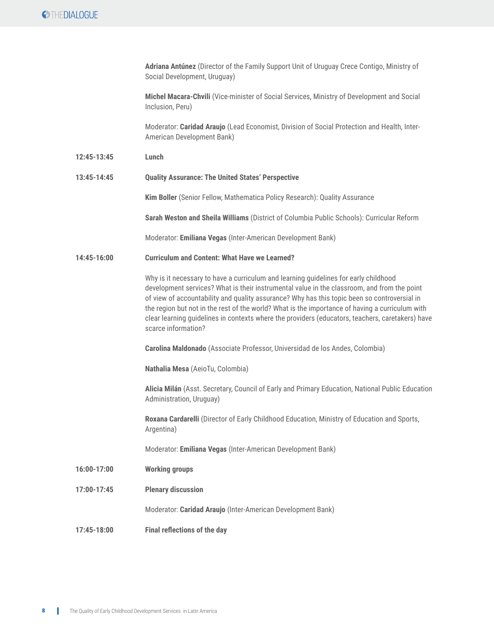### **OTHEDIALOGUE**

|             | Adriana Antúnez (Director of the Family Support Unit of Uruguay Crece Contigo, Ministry of<br>Social Development, Uruguay)                                                                                                                                                                                                                                                                                                                                                                                        |
|-------------|-------------------------------------------------------------------------------------------------------------------------------------------------------------------------------------------------------------------------------------------------------------------------------------------------------------------------------------------------------------------------------------------------------------------------------------------------------------------------------------------------------------------|
|             | Michel Macara-Chvili (Vice-minister of Social Services, Ministry of Development and Social<br>Inclusion, Peru)                                                                                                                                                                                                                                                                                                                                                                                                    |
|             | Moderator: Caridad Araujo (Lead Economist, Division of Social Protection and Health, Inter-<br>American Development Bank)                                                                                                                                                                                                                                                                                                                                                                                         |
| 12:45-13:45 | Lunch                                                                                                                                                                                                                                                                                                                                                                                                                                                                                                             |
| 13:45-14:45 | <b>Quality Assurance: The United States' Perspective</b>                                                                                                                                                                                                                                                                                                                                                                                                                                                          |
|             | Kim Boller (Senior Fellow, Mathematica Policy Research): Quality Assurance                                                                                                                                                                                                                                                                                                                                                                                                                                        |
|             | Sarah Weston and Sheila Williams (District of Columbia Public Schools): Curricular Reform                                                                                                                                                                                                                                                                                                                                                                                                                         |
|             | Moderator: Emiliana Vegas (Inter-American Development Bank)                                                                                                                                                                                                                                                                                                                                                                                                                                                       |
| 14:45-16:00 | <b>Curriculum and Content: What Have we Learned?</b>                                                                                                                                                                                                                                                                                                                                                                                                                                                              |
|             | Why is it necessary to have a curriculum and learning guidelines for early childhood<br>development services? What is their instrumental value in the classroom, and from the point<br>of view of accountability and quality assurance? Why has this topic been so controversial in<br>the region but not in the rest of the world? What is the importance of having a curriculum with<br>clear learning guidelines in contexts where the providers (educators, teachers, caretakers) have<br>scarce information? |
|             | Carolina Maldonado (Associate Professor, Universidad de los Andes, Colombia)                                                                                                                                                                                                                                                                                                                                                                                                                                      |
|             | Nathalia Mesa (AeioTu, Colombia)                                                                                                                                                                                                                                                                                                                                                                                                                                                                                  |
|             | Alicia Milán (Asst. Secretary, Council of Early and Primary Education, National Public Education<br>Administration, Uruguay)                                                                                                                                                                                                                                                                                                                                                                                      |
|             | Roxana Cardarelli (Director of Early Childhood Education, Ministry of Education and Sports,<br>Argentina)                                                                                                                                                                                                                                                                                                                                                                                                         |
|             | Moderator: Emiliana Vegas (Inter-American Development Bank)                                                                                                                                                                                                                                                                                                                                                                                                                                                       |
| 16:00-17:00 | <b>Working groups</b>                                                                                                                                                                                                                                                                                                                                                                                                                                                                                             |
| 17:00-17:45 | <b>Plenary discussion</b>                                                                                                                                                                                                                                                                                                                                                                                                                                                                                         |
|             | Moderator: Caridad Araujo (Inter-American Development Bank)                                                                                                                                                                                                                                                                                                                                                                                                                                                       |
| 17:45-18:00 | <b>Final reflections of the day</b>                                                                                                                                                                                                                                                                                                                                                                                                                                                                               |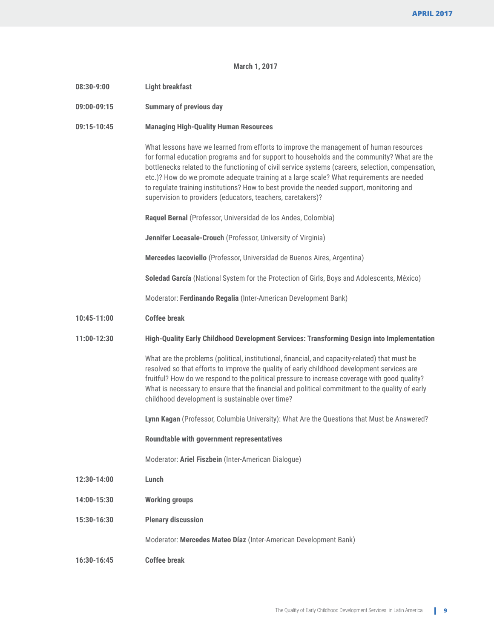#### **March 1, 2017**

| $08:30-9:00$ | <b>Light breakfast</b>                                                                                                                                                                                                                                                                                                                                                                                                                                                                                                                               |
|--------------|------------------------------------------------------------------------------------------------------------------------------------------------------------------------------------------------------------------------------------------------------------------------------------------------------------------------------------------------------------------------------------------------------------------------------------------------------------------------------------------------------------------------------------------------------|
| 09:00-09:15  | <b>Summary of previous day</b>                                                                                                                                                                                                                                                                                                                                                                                                                                                                                                                       |
| 09:15-10:45  | <b>Managing High-Quality Human Resources</b>                                                                                                                                                                                                                                                                                                                                                                                                                                                                                                         |
|              | What lessons have we learned from efforts to improve the management of human resources<br>for formal education programs and for support to households and the community? What are the<br>bottlenecks related to the functioning of civil service systems (careers, selection, compensation,<br>etc.)? How do we promote adequate training at a large scale? What requirements are needed<br>to regulate training institutions? How to best provide the needed support, monitoring and<br>supervision to providers (educators, teachers, caretakers)? |
|              | Raquel Bernal (Professor, Universidad de los Andes, Colombia)                                                                                                                                                                                                                                                                                                                                                                                                                                                                                        |
|              | Jennifer Locasale-Crouch (Professor, University of Virginia)                                                                                                                                                                                                                                                                                                                                                                                                                                                                                         |
|              | Mercedes lacoviello (Professor, Universidad de Buenos Aires, Argentina)                                                                                                                                                                                                                                                                                                                                                                                                                                                                              |
|              | Soledad García (National System for the Protection of Girls, Boys and Adolescents, México)                                                                                                                                                                                                                                                                                                                                                                                                                                                           |
|              | Moderator: Ferdinando Regalia (Inter-American Development Bank)                                                                                                                                                                                                                                                                                                                                                                                                                                                                                      |
| 10:45-11:00  | <b>Coffee break</b>                                                                                                                                                                                                                                                                                                                                                                                                                                                                                                                                  |
| 11:00-12:30  | High-Quality Early Childhood Development Services: Transforming Design into Implementation                                                                                                                                                                                                                                                                                                                                                                                                                                                           |
|              | What are the problems (political, institutional, financial, and capacity-related) that must be<br>resolved so that efforts to improve the quality of early childhood development services are<br>fruitful? How do we respond to the political pressure to increase coverage with good quality?<br>What is necessary to ensure that the financial and political commitment to the quality of early<br>childhood development is sustainable over time?                                                                                                 |
|              | Lynn Kagan (Professor, Columbia University): What Are the Questions that Must be Answered?                                                                                                                                                                                                                                                                                                                                                                                                                                                           |
|              | <b>Roundtable with government representatives</b>                                                                                                                                                                                                                                                                                                                                                                                                                                                                                                    |
|              | Moderator: Ariel Fiszbein (Inter-American Dialogue)                                                                                                                                                                                                                                                                                                                                                                                                                                                                                                  |
| 12:30-14:00  | Lunch                                                                                                                                                                                                                                                                                                                                                                                                                                                                                                                                                |
| 14:00-15:30  | <b>Working groups</b>                                                                                                                                                                                                                                                                                                                                                                                                                                                                                                                                |
| 15:30-16:30  | <b>Plenary discussion</b>                                                                                                                                                                                                                                                                                                                                                                                                                                                                                                                            |
|              | Moderator: Mercedes Mateo Díaz (Inter-American Development Bank)                                                                                                                                                                                                                                                                                                                                                                                                                                                                                     |
| 16:30-16:45  | <b>Coffee break</b>                                                                                                                                                                                                                                                                                                                                                                                                                                                                                                                                  |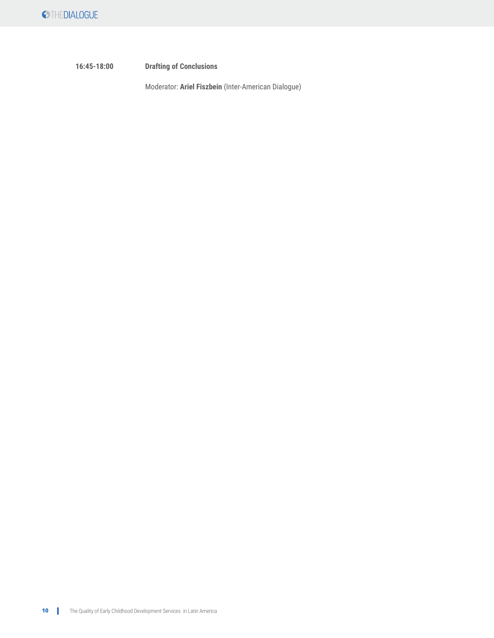**16:45-18:00 Drafting of Conclusions**

Moderator: **Ariel Fiszbein** (Inter-American Dialogue)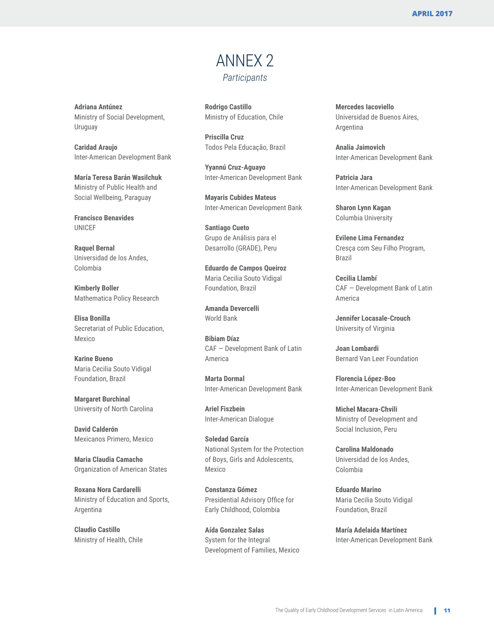### ANNEX 2 *Participants*

**Rodrigo Castillo** Ministry of Education, Chile

**Priscilla Cruz** Todos Pela Educação, Brazil

**Yyannú Cruz-Aguayo** Inter-American Development Bank

**Mayaris Cubides Mateus** Inter-American Development Bank

**Santiago Cueto** Grupo de Análisis para el Desarrollo (GRADE), Peru

**Eduardo de Campos Queiroz** Maria Cecilia Souto Vidigal Foundation, Brazil

**Amanda Devercelli** World Bank

**Bibiam Díaz** CAF — Development Bank of Latin America

**Marta Dormal** Inter-American Development Bank

**Ariel Fiszbein** Inter-American Dialogue

**Soledad García** National System for the Protection of Boys, Girls and Adolescents, Mexico

**Constanza Gómez** Presidential Advisory Office for Early Childhood, Colombia

**Aída Gonzalez Salas** System for the Integral Development of Families, Mexico **Mercedes Iacoviello** Universidad de Buenos Aires, Argentina

**Analia Jaimovich** Inter-American Development Bank

**Patricia Jara** Inter-American Development Bank

**Sharon Lynn Kagan** Columbia University

**Evilene Lima Fernandez** Cresça com Seu Filho Program, Brazil

**Cecilia Llambí** CAF — Development Bank of Latin America

**Jennifer Locasale-Crouch** University of Virginia

**Joan Lombardi** Bernard Van Leer Foundation

**Florencia López-Boo** Inter-American Development Bank

**Michel Macara-Chvili** Ministry of Development and Social Inclusion, Peru

**Carolina Maldonado** Universidad de los Andes, Colombia

**Eduardo Marino** Maria Cecilia Souto Vidigal Foundation, Brazil

**María Adelaida Martínez** Inter-American Development Bank

**Adriana Antúnez** Ministry of Social Development, Uruguay

**Caridad Araujo** Inter-American Development Bank

**María Teresa Barán Wasilchuk** Ministry of Public Health and Social Wellbeing, Paraguay

**Francisco Benavides** UNICEF

**Raquel Bernal** Universidad de los Andes, Colombia

**Kimberly Boller** Mathematica Policy Research

**Elisa Bonilla**  Secretariat of Public Education, Mexico

**Karine Bueno** Maria Cecilia Souto Vidigal Foundation, Brazil

**Margaret Burchinal** University of North Carolina

**David Calderón** Mexicanos Primero, Mexico

**Maria Claudia Camacho** Organization of American States

**Roxana Nora Cardarelli** Ministry of Education and Sports, Argentina

**Claudio Castillo** Ministry of Health, Chile